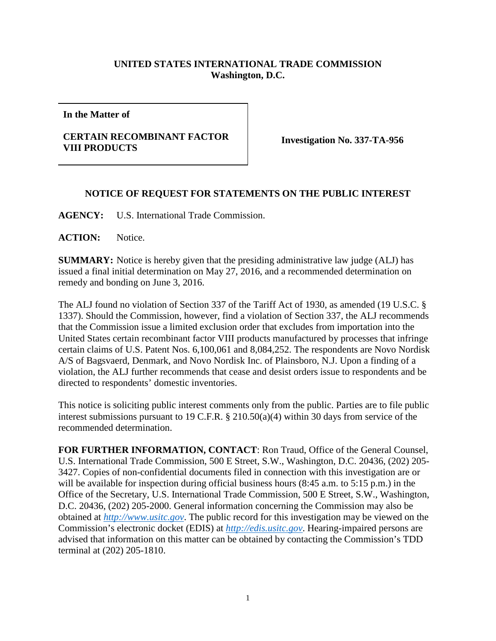## **UNITED STATES INTERNATIONAL TRADE COMMISSION Washington, D.C.**

**In the Matter of**

## **CERTAIN RECOMBINANT FACTOR VIII PRODUCTS Investigation No. 337-TA-956**

## **NOTICE OF REQUEST FOR STATEMENTS ON THE PUBLIC INTEREST**

**AGENCY:** U.S. International Trade Commission.

**ACTION:** Notice.

**SUMMARY:** Notice is hereby given that the presiding administrative law judge (ALJ) has issued a final initial determination on May 27, 2016, and a recommended determination on remedy and bonding on June 3, 2016.

The ALJ found no violation of Section 337 of the Tariff Act of 1930, as amended (19 U.S.C. § 1337). Should the Commission, however, find a violation of Section 337, the ALJ recommends that the Commission issue a limited exclusion order that excludes from importation into the United States certain recombinant factor VIII products manufactured by processes that infringe certain claims of U.S. Patent Nos. 6,100,061 and 8,084,252. The respondents are Novo Nordisk A/S of Bagsvaerd, Denmark, and Novo Nordisk Inc. of Plainsboro, N.J. Upon a finding of a violation, the ALJ further recommends that cease and desist orders issue to respondents and be directed to respondents' domestic inventories.

This notice is soliciting public interest comments only from the public. Parties are to file public interest submissions pursuant to 19 C.F.R. § 210.50(a)(4) within 30 days from service of the recommended determination.

**FOR FURTHER INFORMATION, CONTACT**: Ron Traud, Office of the General Counsel, U.S. International Trade Commission, 500 E Street, S.W., Washington, D.C. 20436, (202) 205- 3427. Copies of non-confidential documents filed in connection with this investigation are or will be available for inspection during official business hours (8:45 a.m. to 5:15 p.m.) in the Office of the Secretary, U.S. International Trade Commission, 500 E Street, S.W., Washington, D.C. 20436, (202) 205-2000. General information concerning the Commission may also be obtained at *[http://www.usitc.gov](http://www.usitc.gov/)*. The public record for this investigation may be viewed on the Commission's electronic docket (EDIS) at *[http://edis.usitc.gov](http://edis.usitc.gov/)*. Hearing-impaired persons are advised that information on this matter can be obtained by contacting the Commission's TDD terminal at (202) 205-1810.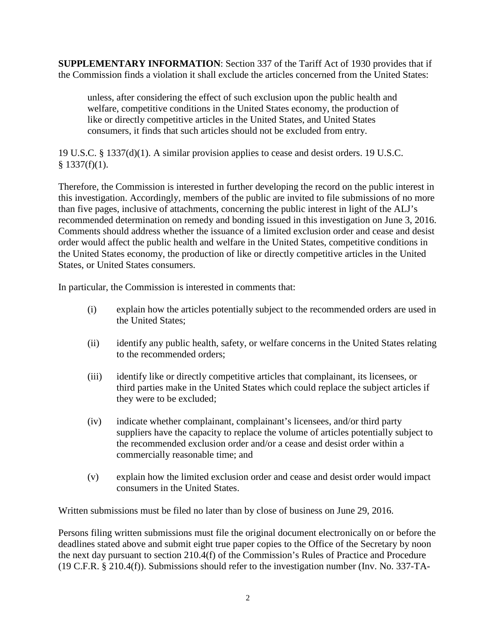**SUPPLEMENTARY INFORMATION**: Section 337 of the Tariff Act of 1930 provides that if the Commission finds a violation it shall exclude the articles concerned from the United States:

unless, after considering the effect of such exclusion upon the public health and welfare, competitive conditions in the United States economy, the production of like or directly competitive articles in the United States, and United States consumers, it finds that such articles should not be excluded from entry.

19 U.S.C. § 1337(d)(1). A similar provision applies to cease and desist orders. 19 U.S.C.  $§$  1337(f)(1).

Therefore, the Commission is interested in further developing the record on the public interest in this investigation. Accordingly, members of the public are invited to file submissions of no more than five pages, inclusive of attachments, concerning the public interest in light of the ALJ's recommended determination on remedy and bonding issued in this investigation on June 3, 2016. Comments should address whether the issuance of a limited exclusion order and cease and desist order would affect the public health and welfare in the United States, competitive conditions in the United States economy, the production of like or directly competitive articles in the United States, or United States consumers.

In particular, the Commission is interested in comments that:

- (i) explain how the articles potentially subject to the recommended orders are used in the United States;
- (ii) identify any public health, safety, or welfare concerns in the United States relating to the recommended orders;
- (iii) identify like or directly competitive articles that complainant, its licensees, or third parties make in the United States which could replace the subject articles if they were to be excluded;
- (iv) indicate whether complainant, complainant's licensees, and/or third party suppliers have the capacity to replace the volume of articles potentially subject to the recommended exclusion order and/or a cease and desist order within a commercially reasonable time; and
- (v) explain how the limited exclusion order and cease and desist order would impact consumers in the United States.

Written submissions must be filed no later than by close of business on June 29, 2016.

Persons filing written submissions must file the original document electronically on or before the deadlines stated above and submit eight true paper copies to the Office of the Secretary by noon the next day pursuant to section 210.4(f) of the Commission's Rules of Practice and Procedure (19 C.F.R. § 210.4(f)). Submissions should refer to the investigation number (Inv. No. 337-TA-